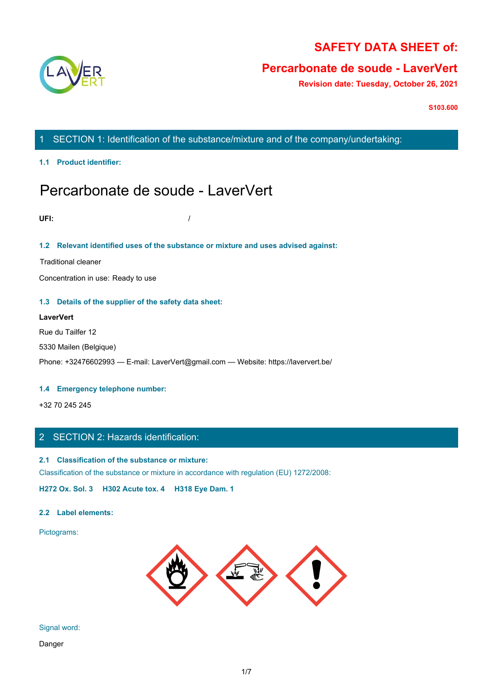

# **SAFETY DATA SHEET of:**

# **Percarbonate de soude - LaverVert**

**Revision date: Tuesday, October 26, 2021**

**S103.600**

# 1 SECTION 1: Identification of the substance/mixture and of the company/undertaking:

**1.1 Product identifier:**

# Percarbonate de soude - LaverVert

**UFI:** /

# **1.2 Relevant identified uses of the substance or mixture and uses advised against:**

Traditional cleaner

Concentration in use: Ready to use

## **1.3 Details of the supplier of the safety data sheet:**

## **LaverVert**

Rue du Tailfer 12

5330 Mailen (Belgique)

Phone: +32476602993 — E-mail: LaverVert@gmail.com — Website: https://laververt.be/

### **1.4 Emergency telephone number:**

+32 70 245 245

# 2 SECTION 2: Hazards identification:

### **2.1 Classification of the substance or mixture:**

Classification of the substance or mixture in accordance with regulation (EU) 1272/2008:

**H272 Ox. Sol. 3 H302 Acute tox. 4 H318 Eye Dam. 1**

### **2.2 Label elements:**

Pictograms:



Signal word:

Danger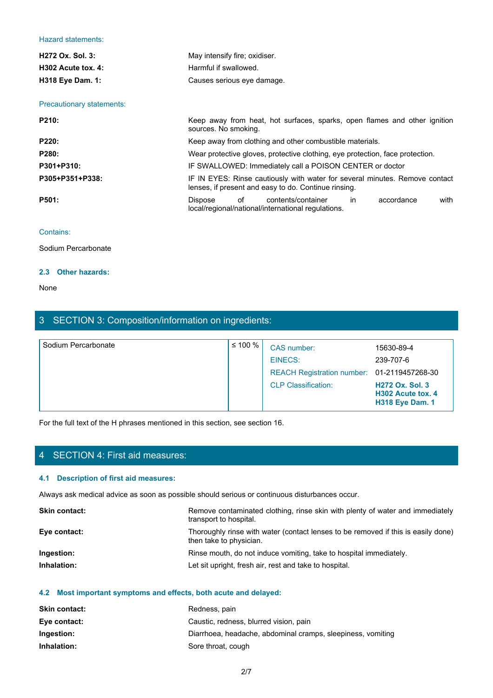### Hazard statements:

| Hazard statements:        |                                                                                                                                     |  |
|---------------------------|-------------------------------------------------------------------------------------------------------------------------------------|--|
| H272 Ox. Sol. 3:          | May intensify fire; oxidiser.                                                                                                       |  |
| H302 Acute tox. 4:        | Harmful if swallowed.                                                                                                               |  |
| H318 Eye Dam. 1:          | Causes serious eye damage.                                                                                                          |  |
|                           |                                                                                                                                     |  |
| Precautionary statements: |                                                                                                                                     |  |
| P210:                     | Keep away from heat, hot surfaces, sparks, open flames and other ignition<br>sources. No smoking.                                   |  |
| P220:                     | Keep away from clothing and other combustible materials.                                                                            |  |
| P280:                     | Wear protective gloves, protective clothing, eye protection, face protection.                                                       |  |
| P301+P310:                | IF SWALLOWED: Immediately call a POISON CENTER or doctor                                                                            |  |
| P305+P351+P338:           | IF IN EYES: Rinse cautiously with water for several minutes. Remove contact<br>lenses, if present and easy to do. Continue rinsing. |  |
| P501:                     | of<br>contents/container<br>with<br>Dispose<br>in<br>accordance<br>local/regional/national/international regulations.               |  |
| Contains:                 |                                                                                                                                     |  |
| Sodium Percarbonate       |                                                                                                                                     |  |
|                           |                                                                                                                                     |  |

# Contains:

### **2.3 Other hazards:**

None with the contract of the contract of the contract of the contract of the contract of the contract of the contract of the contract of the contract of the contract of the contract of the contract of the contract of the

# 3 SECTION 3: Composition/information on ingredients:

| Sodium Percarbonate | ≤ 100 % $ $ | CAS number:                                 | 15630-89-4                                                            |
|---------------------|-------------|---------------------------------------------|-----------------------------------------------------------------------|
|                     |             | EINECS:                                     | 239-707-6                                                             |
|                     |             | REACH Registration number: 01-2119457268-30 |                                                                       |
|                     |             | <b>CLP Classification:</b>                  | <b>H272 Ox. Sol. 3</b><br>H302 Acute tox. 4<br><b>H318 Eye Dam. 1</b> |

For the full text of the H phrases mentioned in this section, see section 16.

# 4 SECTION 4: First aid measures:

## **4.1 Description of first aid measures:**

Always ask medical advice as soon as possible should serious or continuous disturbances occur.

| <b>Skin contact:</b> | Remove contaminated clothing, rinse skin with plenty of water and immediately<br>transport to hospital.      |
|----------------------|--------------------------------------------------------------------------------------------------------------|
| Eye contact:         | Thoroughly rinse with water (contact lenses to be removed if this is easily done)<br>then take to physician. |
| Ingestion:           | Rinse mouth, do not induce vomiting, take to hospital immediately.                                           |
| Inhalation:          | Let sit upright, fresh air, rest and take to hospital.                                                       |

### **4.2 Most important symptoms and effects, both acute and delayed:**

| <b>Skin contact:</b> | Redness, pain                                               |
|----------------------|-------------------------------------------------------------|
| Eye contact:         | Caustic, redness, blurred vision, pain                      |
| Ingestion:           | Diarrhoea, headache, abdominal cramps, sleepiness, vomiting |
| Inhalation:          | Sore throat, cough                                          |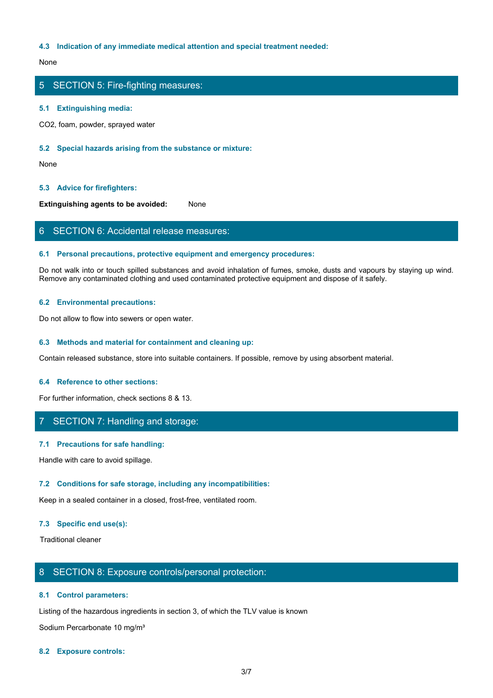### **4.3 Indication of any immediate medical attention and special treatment needed:**

None with the contract of the contract of the contract of the contract of the contract of the contract of the contract of the contract of the contract of the contract of the contract of the contract of the contract of the

# 5 SECTION 5: Fire-fighting measures:

### **5.1 Extinguishing media:**

CO2, foam, powder, sprayed water

#### **5.2 Special hazards arising from the substance or mixture:**

None with the contract of the contract of the contract of the contract of the contract of the contract of the contract of the contract of the contract of the contract of the contract of the contract of the contract of the

### **5.3 Advice for firefighters:**

**Extinguishing agents to be avoided:** None

## 6 SECTION 6: Accidental release measures:

### **6.1 Personal precautions, protective equipment and emergency procedures:**

Do not walk into or touch spilled substances and avoid inhalation of fumes, smoke, dusts and vapours by staying up wind. Remove any contaminated clothing and used contaminated protective equipment and dispose of it safely.

### **6.2 Environmental precautions:**

Do not allow to flow into sewers or open water.

### **6.3 Methods and material for containment and cleaning up:**

Contain released substance, store into suitable containers. If possible, remove by using absorbent material.

### **6.4 Reference to other sections:**

For further information, check sections 8 & 13.

# 7 SECTION 7: Handling and storage:

### **7.1 Precautions for safe handling:**

Handle with care to avoid spillage.

### **7.2 Conditions for safe storage, including any incompatibilities:**

Keep in a sealed container in a closed, frost-free, ventilated room.

### **7.3 Specific end use(s):**

Traditional cleaner

## 8 SECTION 8: Exposure controls/personal protection:

### **8.1 Control parameters:**

Listing of the hazardous ingredients in section 3, of which the TLV value is known

Sodium Percarbonate 10 mg/m<sup>3</sup>

#### **8.2 Exposure controls:**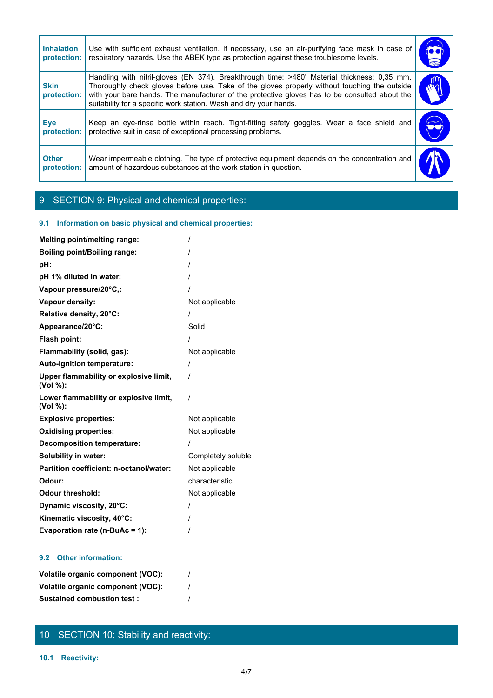| <b>Inhalation</b><br>protection: | Use with sufficient exhaust ventilation. If necessary, use an air-purifying face mask in case of<br>respiratory hazards. Use the ABEK type as protection against these troublesome levels.                                                                                                                                                                        | $\bullet$    |
|----------------------------------|-------------------------------------------------------------------------------------------------------------------------------------------------------------------------------------------------------------------------------------------------------------------------------------------------------------------------------------------------------------------|--------------|
| <b>Skin</b><br>protection:       | Handling with nitril-gloves (EN 374). Breakthrough time: >480' Material thickness: 0,35 mm.<br>Thoroughly check gloves before use. Take of the gloves properly without touching the outside<br>with your bare hands. The manufacturer of the protective gloves has to be consulted about the<br>suitability for a specific work station. Wash and dry your hands. | $\mathbb{F}$ |
| <b>Eye</b><br>protection:        | Keep an eye-rinse bottle within reach. Tight-fitting safety goggles. Wear a face shield and<br>protective suit in case of exceptional processing problems.                                                                                                                                                                                                        | 2            |
| <b>Other</b>                     | Wear impermeable clothing. The type of protective equipment depends on the concentration and                                                                                                                                                                                                                                                                      |              |

# 9 SECTION 9: Physical and chemical properties:

# **9.1 Information on basic physical and chemical properties:**

| <b>Melting point/melting range:</b>                |                    |
|----------------------------------------------------|--------------------|
| <b>Boiling point/Boiling range:</b>                |                    |
| pH:                                                |                    |
| pH 1% diluted in water:                            |                    |
| Vapour pressure/20°C,:                             |                    |
| Vapour density:                                    | Not applicable     |
| Relative density, 20°C:                            |                    |
| Appearance/20°C:                                   | Solid              |
| Flash point:                                       |                    |
| Flammability (solid, gas):                         | Not applicable     |
| Auto-ignition temperature:                         |                    |
| Upper flammability or explosive limit,<br>(Vol %): |                    |
| Lower flammability or explosive limit,<br>(Vol %): | $\prime$           |
| <b>Explosive properties:</b>                       | Not applicable     |
| <b>Oxidising properties:</b>                       | Not applicable     |
| <b>Decomposition temperature:</b>                  |                    |
| <b>Solubility in water:</b>                        | Completely soluble |
| Partition coefficient: n-octanol/water:            | Not applicable     |
| Odour:                                             | characteristic     |
| <b>Odour threshold:</b>                            | Not applicable     |
| Dynamic viscosity, 20°C:                           |                    |
| Kinematic viscosity, 40°C:                         |                    |
| Evaporation rate (n-BuAc = 1):                     |                    |
|                                                    |                    |

# **9.2 Other information:**

| Volatile organic component (VOC): |  |
|-----------------------------------|--|
| Volatile organic component (VOC): |  |
| <b>Sustained combustion test:</b> |  |

# 10 SECTION 10: Stability and reactivity: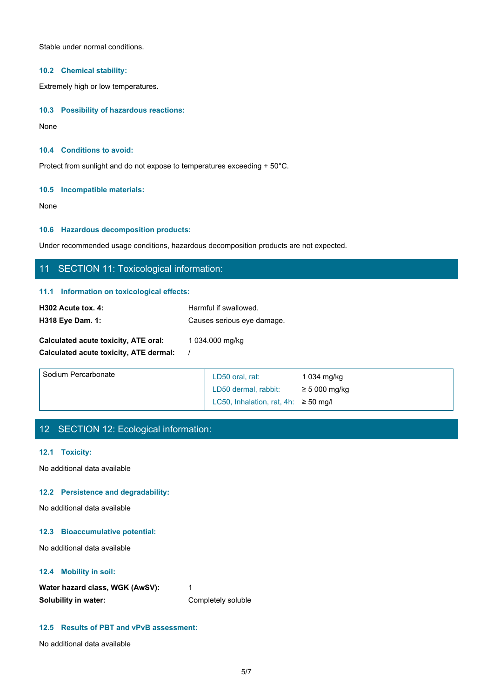Stable under normal conditions.

### **10.2 Chemical stability:**

Extremely high or low temperatures.

### **10.3 Possibility of hazardous reactions:**

None with the contract of the contract of the contract of the contract of the contract of the contract of the contract of the contract of the contract of the contract of the contract of the contract of the contract of the

### **10.4 Conditions to avoid:**

Protect from sunlight and do not expose to temperatures exceeding + 50°C.

### **10.5 Incompatible materials:**

None with the contract of the contract of the contract of the contract of the contract of the contract of the contract of the contract of the contract of the contract of the contract of the contract of the contract of the

## **10.6 Hazardous decomposition products:**

Under recommended usage conditions, hazardous decomposition products are not expected.

# 11 SECTION 11: Toxicological information:

### **11.1 Information on toxicological effects:**

| H302 Acute tox. 4:                     | Harmful if swallowed.      |                    |
|----------------------------------------|----------------------------|--------------------|
| <b>H318 Eye Dam. 1:</b>                | Causes serious eye damage. |                    |
| Calculated acute toxicity, ATE oral:   | 1 034.000 mg/kg            |                    |
| Calculated acute toxicity, ATE dermal: |                            |                    |
| Sodium Percarbonate                    | $DEO$ and $int$            | $1.024 \times 1.8$ |

| Sodium Percarbonate | LD50 oral, rat:                           | 1 034 mg/kg        |
|---------------------|-------------------------------------------|--------------------|
|                     | LD50 dermal, rabbit:                      | $\geq$ 5 000 mg/kg |
|                     | LC50, Inhalation, rat, 4h: $\geq$ 50 mg/l |                    |

# 12 SECTION 12: Ecological information:

### **12.1 Toxicity:**

No additional data available

### **12.2 Persistence and degradability:**

No additional data available

### **12.3 Bioaccumulative potential:**

No additional data available

### **12.4 Mobility in soil:**

| Water hazard class, WGK (AwSV): |                    |
|---------------------------------|--------------------|
| Solubility in water:            | Completely soluble |

## **12.5 Results of PBT and vPvB assessment:**

No additional data available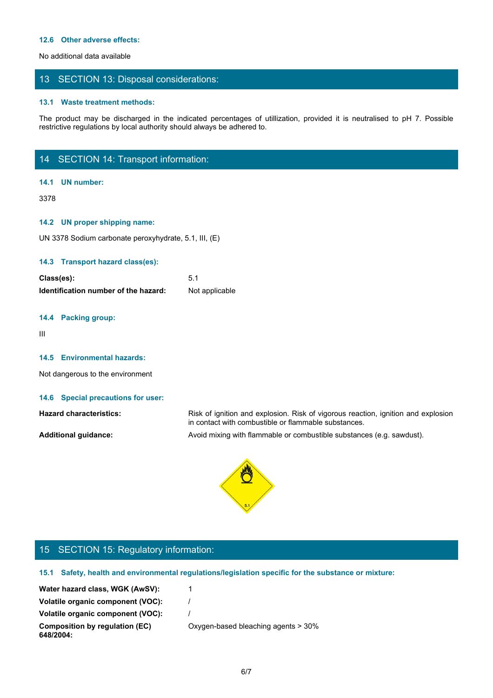### **12.6 Other adverse effects:**

No additional data available

# 13 SECTION 13: Disposal considerations:

#### **13.1 Waste treatment methods:**

The product may be discharged in the indicated percentages of utilization, provided it is neutralised to pH 7. Possible<br>The product may be discharged in the indicated percentages of utilization, provided it is neutralised restrictive regulations by local authority should always be adhered to.

# 14 SECTION 14: Transport information:

### **14.1 UN number:**

3378

### **14.2 UN proper shipping name:**

UN 3378 Sodium carbonate peroxyhydrate, 5.1, III, (E)

#### **14.3 Transport hazard class(es):**

| Class(es):                           |                |
|--------------------------------------|----------------|
| Identification number of the hazard: | Not applicable |

### **14.4 Packing group:**

III and a structure of the structure

### **14.5 Environmental hazards:**

Not dangerous to the environment

#### **14.6 Special precautions for user:**

**Hazard characteristics:** Risk of ignition and explosion. Risk of vigorous reaction, ignition and explosion in contact with combustible or flammable substances. **Additional guidance:** Avoid mixing with flammable or combustible substances (e.g. sawdust).



# 15 SECTION 15: Regulatory information:

**15.1 Safety, health and environmental regulations/legislation specific for the substance or mixture:**

| Water hazard class, WGK (AwSV):   |  |  |
|-----------------------------------|--|--|
| Volatile organic component (VOC): |  |  |

**Volatile organic component (VOC):** /

**Composition by regulation (EC)**

**648/2004:**

Oxygen-based bleaching agents > 30%